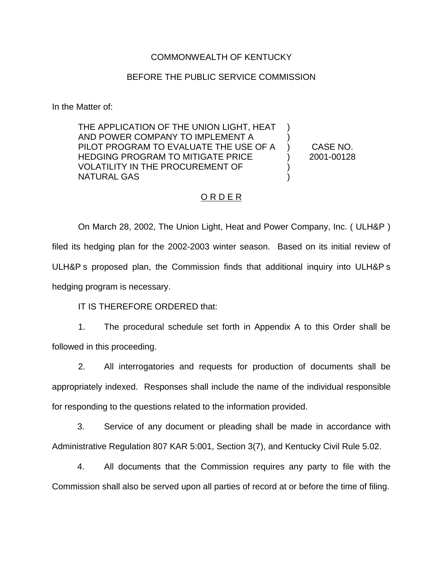### COMMONWEALTH OF KENTUCKY

#### BEFORE THE PUBLIC SERVICE COMMISSION

In the Matter of:

THE APPLICATION OF THE UNION LIGHT, HEAT AND POWER COMPANY TO IMPLEMENT A PILOT PROGRAM TO EVALUATE THE USE OF A HEDGING PROGRAM TO MITIGATE PRICE VOLATILITY IN THE PROCUREMENT OF NATURAL GAS ) ) ) )

) CASE NO. ) 2001-00128

### O R D E R

On March 28, 2002, The Union Light, Heat and Power Company, Inc. ( ULH&P ) filed its hedging plan for the 2002-2003 winter season. Based on its initial review of ULH&P s proposed plan, the Commission finds that additional inquiry into ULH&P s hedging program is necessary.

IT IS THEREFORE ORDERED that:

1. The procedural schedule set forth in Appendix A to this Order shall be followed in this proceeding.

2. All interrogatories and requests for production of documents shall be appropriately indexed. Responses shall include the name of the individual responsible for responding to the questions related to the information provided.

3. Service of any document or pleading shall be made in accordance with Administrative Regulation 807 KAR 5:001, Section 3(7), and Kentucky Civil Rule 5.02.

4. All documents that the Commission requires any party to file with the Commission shall also be served upon all parties of record at or before the time of filing.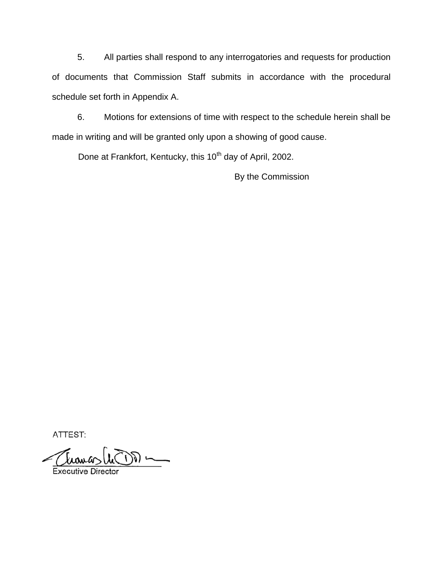5. All parties shall respond to any interrogatories and requests for production of documents that Commission Staff submits in accordance with the procedural schedule set forth in Appendix A.

6. Motions for extensions of time with respect to the schedule herein shall be made in writing and will be granted only upon a showing of good cause.

Done at Frankfort, Kentucky, this 10<sup>th</sup> day of April, 2002.

By the Commission

ATTEST:

 $\sum$ **Executive Director**